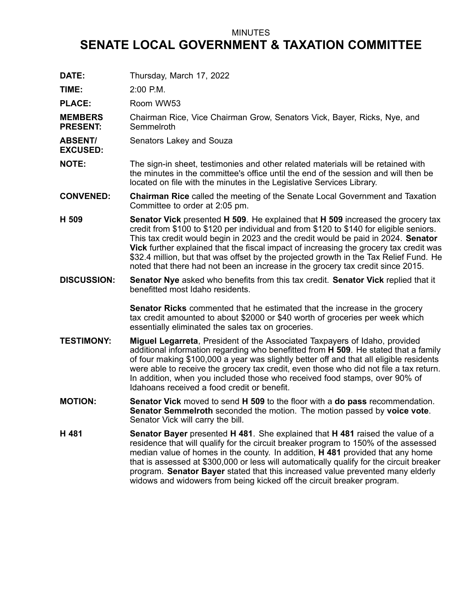## MINUTES

## **SENATE LOCAL GOVERNMENT & TAXATION COMMITTEE**

**DATE:** Thursday, March 17, 2022 **TIME:** 2:00 P.M. PLACE: Room WW53 **MEMBERS PRESENT:** Chairman Rice, Vice Chairman Grow, Senators Vick, Bayer, Ricks, Nye, and **Semmelroth ABSENT/ EXCUSED:** Senators Lakey and Souza **NOTE:** The sign-in sheet, testimonies and other related materials will be retained with the minutes in the committee's office until the end of the session and will then be located on file with the minutes in the Legislative Services Library. **CONVENED: Chairman Rice** called the meeting of the Senate Local Government and Taxation Committee to order at 2:05 pm. **H 509 Senator Vick** presented **H 509**. He explained that **H 509** increased the grocery tax credit from \$100 to \$120 per individual and from \$120 to \$140 for eligible seniors. This tax credit would begin in 2023 and the credit would be paid in 2024. **Senator Vick** further explained that the fiscal impact of increasing the grocery tax credit was \$32.4 million, but that was offset by the projected growth in the Tax Relief Fund. He noted that there had not been an increase in the grocery tax credit since 2015. **DISCUSSION: Senator Nye** asked who benefits from this tax credit. **Senator Vick** replied that it benefitted most Idaho residents. **Senator Ricks** commented that he estimated that the increase in the grocery tax credit amounted to about \$2000 or \$40 worth of groceries per week which essentially eliminated the sales tax on groceries. **TESTIMONY: Miguel Legarreta**, President of the Associated Taxpayers of Idaho, provided additional information regarding who benefitted from **H 509**. He stated that <sup>a</sup> family of four making \$100,000 <sup>a</sup> year was slightly better off and that all eligible residents were able to receive the grocery tax credit, even those who did not file <sup>a</sup> tax return. In addition, when you included those who received food stamps, over 90% of Idahoans received a food credit or benefit. **MOTION: Senator Vick** moved to send **H 509** to the floor with <sup>a</sup> **do pass** recommendation. **Senator Semmelroth** seconded the motion. The motion passed by **voice vote**. Senator Vick will carry the bill. **H 481 Senator Bayer** presented **H 481**. She explained that **H 481** raised the value of <sup>a</sup> residence that will qualify for the circuit breaker program to 150% of the assessed median value of homes in the county. In addition, **H 481** provided that any home that is assessed at \$300,000 or less will automatically qualify for the circuit breaker program. **Senator Bayer** stated that this increased value prevented many elderly widows and widowers from being kicked off the circuit breaker program.